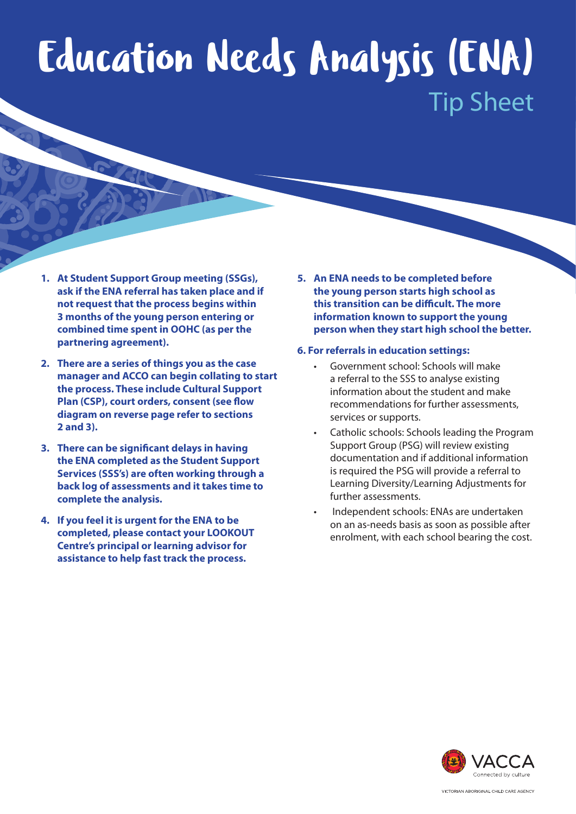## Education Needs Analysis (ENA) Tip Sheet

- **1. At Student Support Group meeting (SSGs), ask if the ENA referral has taken place and if not request that the process begins within 3 months of the young person entering or combined time spent in OOHC (as per the partnering agreement).**
- **2. There are a series of things you as the case manager and ACCO can begin collating to start the process. These include Cultural Support Plan (CSP), court orders, consent (see flow diagram on reverse page refer to sections 2 and 3).**
- **3. There can be significant delays in having the ENA completed as the Student Support Services (SSS's) are often working through a back log of assessments and it takes time to complete the analysis.**
- **4. If you feel it is urgent for the ENA to be completed, please contact your LOOKOUT Centre's principal or learning advisor for assistance to help fast track the process.**

**5. An ENA needs to be completed before the young person starts high school as this transition can be difficult. The more information known to support the young person when they start high school the better.**

## **6. For referrals in education settings:**

- Government school: Schools will make a referral to the SSS to analyse existing information about the student and make recommendations for further assessments, services or supports.
- Catholic schools: Schools leading the Program Support Group (PSG) will review existing documentation and if additional information is required the PSG will provide a referral to Learning Diversity/Learning Adjustments for further assessments.
- Independent schools: ENAs are undertaken on an as-needs basis as soon as possible after enrolment, with each school bearing the cost.